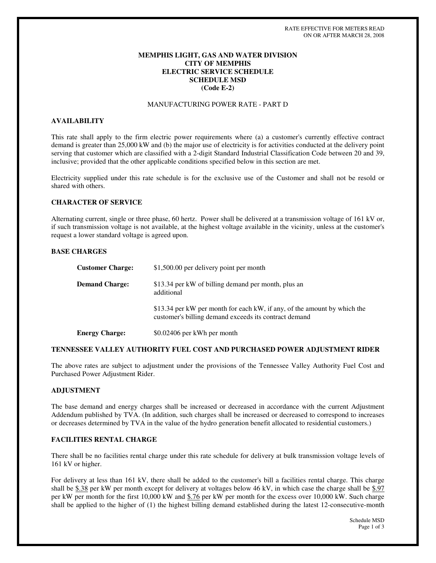## **MEMPHIS LIGHT, GAS AND WATER DIVISION CITY OF MEMPHIS ELECTRIC SERVICE SCHEDULE SCHEDULE MSD (Code E-2)**

## MANUFACTURING POWER RATE - PART D

## **AVAILABILITY**

This rate shall apply to the firm electric power requirements where (a) a customer's currently effective contract demand is greater than 25,000 kW and (b) the major use of electricity is for activities conducted at the delivery point serving that customer which are classified with a 2-digit Standard Industrial Classification Code between 20 and 39, inclusive; provided that the other applicable conditions specified below in this section are met.

Electricity supplied under this rate schedule is for the exclusive use of the Customer and shall not be resold or shared with others.

### **CHARACTER OF SERVICE**

Alternating current, single or three phase, 60 hertz. Power shall be delivered at a transmission voltage of 161 kV or, if such transmission voltage is not available, at the highest voltage available in the vicinity, unless at the customer's request a lower standard voltage is agreed upon.

### **BASE CHARGES**

| <b>Customer Charge:</b> | \$1,500.00 per delivery point per month                                                                                           |
|-------------------------|-----------------------------------------------------------------------------------------------------------------------------------|
| <b>Demand Charge:</b>   | \$13.34 per kW of billing demand per month, plus an<br>additional                                                                 |
|                         | \$13.34 per kW per month for each kW, if any, of the amount by which the<br>customer's billing demand exceeds its contract demand |
| <b>Energy Charge:</b>   | \$0.02406 per kWh per month                                                                                                       |

### **TENNESSEE VALLEY AUTHORITY FUEL COST AND PURCHASED POWER ADJUSTMENT RIDER**

The above rates are subject to adjustment under the provisions of the Tennessee Valley Authority Fuel Cost and Purchased Power Adjustment Rider.

## **ADJUSTMENT**

The base demand and energy charges shall be increased or decreased in accordance with the current Adjustment Addendum published by TVA. (In addition, such charges shall be increased or decreased to correspond to increases or decreases determined by TVA in the value of the hydro generation benefit allocated to residential customers.)

### **FACILITIES RENTAL CHARGE**

There shall be no facilities rental charge under this rate schedule for delivery at bulk transmission voltage levels of 161 kV or higher.

For delivery at less than 161 kV, there shall be added to the customer's bill a facilities rental charge. This charge shall be  $$.38$  per kW per month except for delivery at voltages below 46 kV, in which case the charge shall be  $$.97$ per kW per month for the first 10,000 kW and \$.76 per kW per month for the excess over 10,000 kW. Such charge shall be applied to the higher of (1) the highest billing demand established during the latest 12-consecutive-month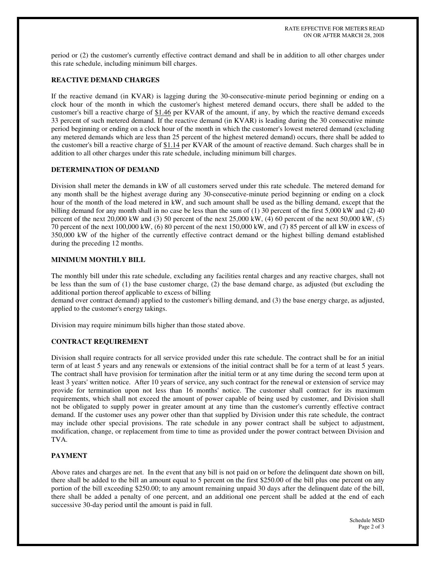period or (2) the customer's currently effective contract demand and shall be in addition to all other charges under this rate schedule, including minimum bill charges.

# **REACTIVE DEMAND CHARGES**

If the reactive demand (in KVAR) is lagging during the 30-consecutive-minute period beginning or ending on a clock hour of the month in which the customer's highest metered demand occurs, there shall be added to the customer's bill a reactive charge of \$1.46 per KVAR of the amount, if any, by which the reactive demand exceeds 33 percent of such metered demand. If the reactive demand (in KVAR) is leading during the 30 consecutive minute period beginning or ending on a clock hour of the month in which the customer's lowest metered demand (excluding any metered demands which are less than 25 percent of the highest metered demand) occurs, there shall be added to the customer's bill a reactive charge of \$1.14 per KVAR of the amount of reactive demand. Such charges shall be in addition to all other charges under this rate schedule, including minimum bill charges.

# **DETERMINATION OF DEMAND**

Division shall meter the demands in kW of all customers served under this rate schedule. The metered demand for any month shall be the highest average during any 30-consecutive-minute period beginning or ending on a clock hour of the month of the load metered in kW, and such amount shall be used as the billing demand, except that the billing demand for any month shall in no case be less than the sum of (1) 30 percent of the first 5,000 kW and (2) 40 percent of the next 20,000 kW and (3) 50 percent of the next 25,000 kW, (4) 60 percent of the next 50,000 kW, (5) 70 percent of the next 100,000 kW, (6) 80 percent of the next 150,000 kW, and (7) 85 percent of all kW in excess of 350,000 kW of the higher of the currently effective contract demand or the highest billing demand established during the preceding 12 months.

## **MINIMUM MONTHLY BILL**

The monthly bill under this rate schedule, excluding any facilities rental charges and any reactive charges, shall not be less than the sum of (1) the base customer charge, (2) the base demand charge, as adjusted (but excluding the additional portion thereof applicable to excess of billing

demand over contract demand) applied to the customer's billing demand, and (3) the base energy charge, as adjusted, applied to the customer's energy takings.

Division may require minimum bills higher than those stated above.

# **CONTRACT REQUIREMENT**

Division shall require contracts for all service provided under this rate schedule. The contract shall be for an initial term of at least 5 years and any renewals or extensions of the initial contract shall be for a term of at least 5 years. The contract shall have provision for termination after the initial term or at any time during the second term upon at least 3 years' written notice. After 10 years of service, any such contract for the renewal or extension of service may provide for termination upon not less than 16 months' notice. The customer shall contract for its maximum requirements, which shall not exceed the amount of power capable of being used by customer, and Division shall not be obligated to supply power in greater amount at any time than the customer's currently effective contract demand. If the customer uses any power other than that supplied by Division under this rate schedule, the contract may include other special provisions. The rate schedule in any power contract shall be subject to adjustment, modification, change, or replacement from time to time as provided under the power contract between Division and TVA.

# **PAYMENT**

Above rates and charges are net. In the event that any bill is not paid on or before the delinquent date shown on bill, there shall be added to the bill an amount equal to 5 percent on the first \$250.00 of the bill plus one percent on any portion of the bill exceeding \$250.00; to any amount remaining unpaid 30 days after the delinquent date of the bill, there shall be added a penalty of one percent, and an additional one percent shall be added at the end of each successive 30-day period until the amount is paid in full.